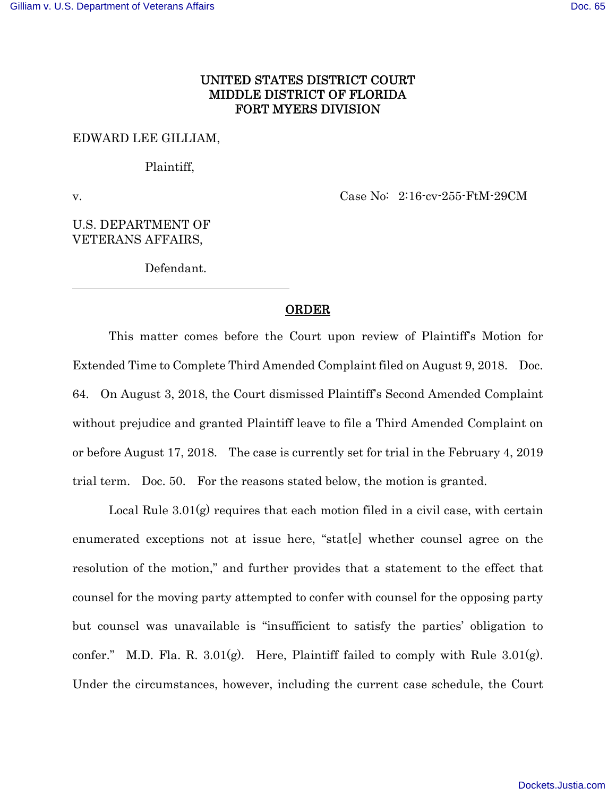## UNITED STATES DISTRICT COURT MIDDLE DISTRICT OF FLORIDA FORT MYERS DIVISION

### EDWARD LEE GILLIAM,

### Plaintiff,

 $\overline{a}$ 

v. Case No: 2:16-cv-255-FtM-29CM

# U.S. DEPARTMENT OF VETERANS AFFAIRS,

Defendant.

### **ORDER**

This matter comes before the Court upon review of Plaintiff's Motion for Extended Time to Complete Third Amended Complaint filed on August 9, 2018. Doc. 64. On August 3, 2018, the Court dismissed Plaintiff's Second Amended Complaint without prejudice and granted Plaintiff leave to file a Third Amended Complaint on or before August 17, 2018. The case is currently set for trial in the February 4, 2019 trial term. Doc. 50. For the reasons stated below, the motion is granted.

Local Rule  $3.01(g)$  requires that each motion filed in a civil case, with certain enumerated exceptions not at issue here, "stat[e] whether counsel agree on the resolution of the motion," and further provides that a statement to the effect that counsel for the moving party attempted to confer with counsel for the opposing party but counsel was unavailable is "insufficient to satisfy the parties' obligation to confer." M.D. Fla. R.  $3.01(g)$ . Here, Plaintiff failed to comply with Rule  $3.01(g)$ . Under the circumstances, however, including the current case schedule, the Court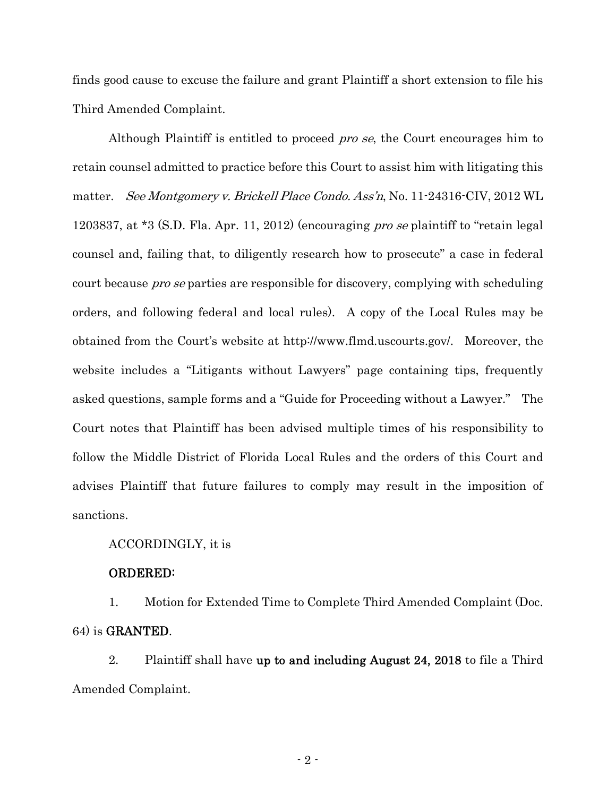finds good cause to excuse the failure and grant Plaintiff a short extension to file his Third Amended Complaint.

Although Plaintiff is entitled to proceed *pro se*, the Court encourages him to retain counsel admitted to practice before this Court to assist him with litigating this matter. See Montgomery v. Brickell Place Condo. Ass'n, No. 11-24316-CIV, 2012 WL 1203837, at \*3 (S.D. Fla. Apr. 11, 2012) (encouraging *pro se* plaintiff to "retain legal counsel and, failing that, to diligently research how to prosecute" a case in federal court because *pro se* parties are responsible for discovery, complying with scheduling orders, and following federal and local rules). A copy of the Local Rules may be obtained from the Court's website at http://www.flmd.uscourts.gov/. Moreover, the website includes a "Litigants without Lawyers" page containing tips, frequently asked questions, sample forms and a "Guide for Proceeding without a Lawyer." The Court notes that Plaintiff has been advised multiple times of his responsibility to follow the Middle District of Florida Local Rules and the orders of this Court and advises Plaintiff that future failures to comply may result in the imposition of sanctions.

### ACCORDINGLY, it is

### ORDERED:

1. Motion for Extended Time to Complete Third Amended Complaint (Doc. 64) is GRANTED.

2. Plaintiff shall have up to and including August 24, 2018 to file a Third Amended Complaint.